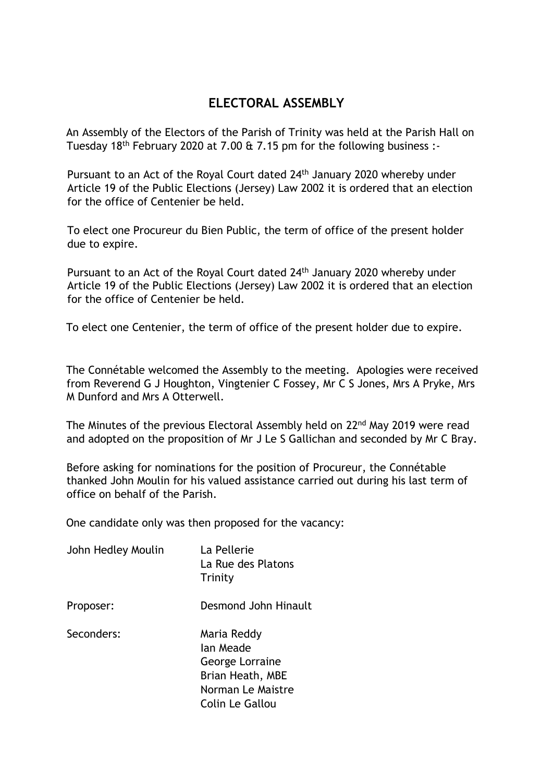## **ELECTORAL ASSEMBLY**

An Assembly of the Electors of the Parish of Trinity was held at the Parish Hall on Tuesday 18th February 2020 at 7.00 & 7.15 pm for the following business :-

Pursuant to an Act of the Royal Court dated 24<sup>th</sup> January 2020 whereby under Article 19 of the Public Elections (Jersey) Law 2002 it is ordered that an election for the office of Centenier be held.

To elect one Procureur du Bien Public, the term of office of the present holder due to expire.

Pursuant to an Act of the Royal Court dated 24<sup>th</sup> January 2020 whereby under Article 19 of the Public Elections (Jersey) Law 2002 it is ordered that an election for the office of Centenier be held.

To elect one Centenier, the term of office of the present holder due to expire.

The Connétable welcomed the Assembly to the meeting. Apologies were received from Reverend G J Houghton, Vingtenier C Fossey, Mr C S Jones, Mrs A Pryke, Mrs M Dunford and Mrs A Otterwell.

The Minutes of the previous Electoral Assembly held on 22<sup>nd</sup> May 2019 were read and adopted on the proposition of Mr J Le S Gallichan and seconded by Mr C Bray.

Before asking for nominations for the position of Procureur, the Connétable thanked John Moulin for his valued assistance carried out during his last term of office on behalf of the Parish.

One candidate only was then proposed for the vacancy:

| John Hedley Moulin | La Pellerie<br>La Rue des Platons<br>Trinity                                                            |
|--------------------|---------------------------------------------------------------------------------------------------------|
| Proposer:          | Desmond John Hinault                                                                                    |
| Seconders:         | Maria Reddy<br>lan Meade<br>George Lorraine<br>Brian Heath, MBE<br>Norman Le Maistre<br>Colin Le Gallou |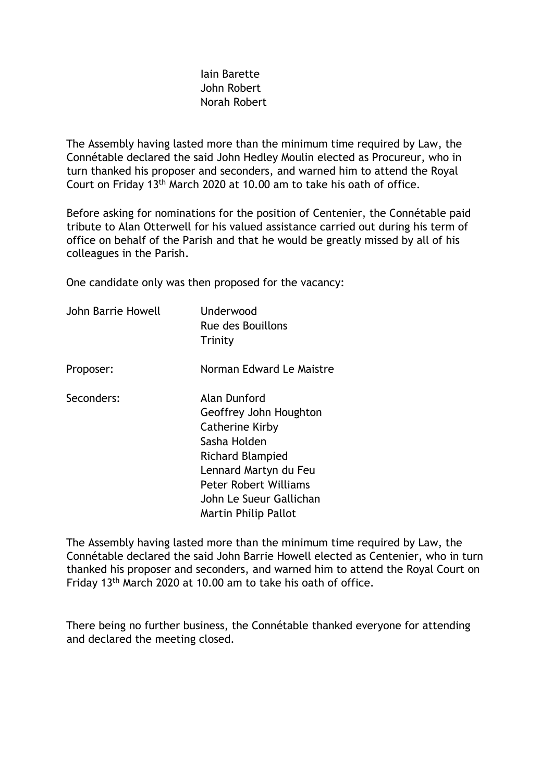## Iain Barette John Robert Norah Robert

The Assembly having lasted more than the minimum time required by Law, the Connétable declared the said John Hedley Moulin elected as Procureur, who in turn thanked his proposer and seconders, and warned him to attend the Royal Court on Friday 13<sup>th</sup> March 2020 at 10.00 am to take his oath of office.

Before asking for nominations for the position of Centenier, the Connétable paid tribute to Alan Otterwell for his valued assistance carried out during his term of office on behalf of the Parish and that he would be greatly missed by all of his colleagues in the Parish.

One candidate only was then proposed for the vacancy:

| John Barrie Howell | Underwood<br>Rue des Bouillons<br>Trinity                                                                                                                                                                        |
|--------------------|------------------------------------------------------------------------------------------------------------------------------------------------------------------------------------------------------------------|
| Proposer:          | Norman Edward Le Maistre                                                                                                                                                                                         |
| Seconders:         | Alan Dunford<br>Geoffrey John Houghton<br><b>Catherine Kirby</b><br>Sasha Holden<br>Richard Blampied<br>Lennard Martyn du Feu<br><b>Peter Robert Williams</b><br>John Le Sueur Gallichan<br>Martin Philip Pallot |

The Assembly having lasted more than the minimum time required by Law, the Connétable declared the said John Barrie Howell elected as Centenier, who in turn thanked his proposer and seconders, and warned him to attend the Royal Court on Friday 13<sup>th</sup> March 2020 at 10.00 am to take his oath of office.

There being no further business, the Connétable thanked everyone for attending and declared the meeting closed.